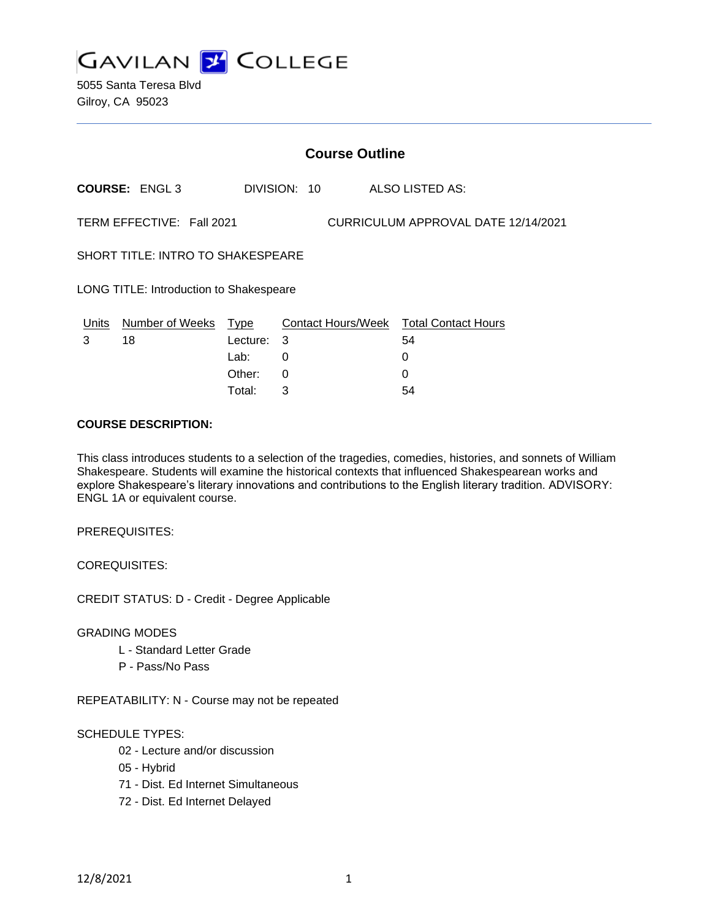

5055 Santa Teresa Blvd Gilroy, CA 95023

|                                                                  |                       |                         |              | <b>Course Outline</b> |                                              |  |
|------------------------------------------------------------------|-----------------------|-------------------------|--------------|-----------------------|----------------------------------------------|--|
|                                                                  | <b>COURSE: ENGL3</b>  |                         | DIVISION: 10 |                       | ALSO LISTED AS:                              |  |
| TERM EFFECTIVE: Fall 2021<br>CURRICULUM APPROVAL DATE 12/14/2021 |                       |                         |              |                       |                                              |  |
| <b>SHORT TITLE: INTRO TO SHAKESPEARE</b>                         |                       |                         |              |                       |                                              |  |
| LONG TITLE: Introduction to Shakespeare                          |                       |                         |              |                       |                                              |  |
| Units<br>3                                                       | Number of Weeks<br>18 | <b>Type</b><br>Lecture: | 3            |                       | Contact Hours/Week Total Contact Hours<br>54 |  |
|                                                                  |                       | Lab:<br>Other:          | 0<br>0       |                       | 0<br>0                                       |  |

Total: 3 54

#### **COURSE DESCRIPTION:**

This class introduces students to a selection of the tragedies, comedies, histories, and sonnets of William Shakespeare. Students will examine the historical contexts that influenced Shakespearean works and explore Shakespeare's literary innovations and contributions to the English literary tradition. ADVISORY: ENGL 1A or equivalent course.

PREREQUISITES:

COREQUISITES:

CREDIT STATUS: D - Credit - Degree Applicable

GRADING MODES

- L Standard Letter Grade
- P Pass/No Pass

REPEATABILITY: N - Course may not be repeated

#### SCHEDULE TYPES:

- 02 Lecture and/or discussion
- 05 Hybrid
- 71 Dist. Ed Internet Simultaneous
- 72 Dist. Ed Internet Delayed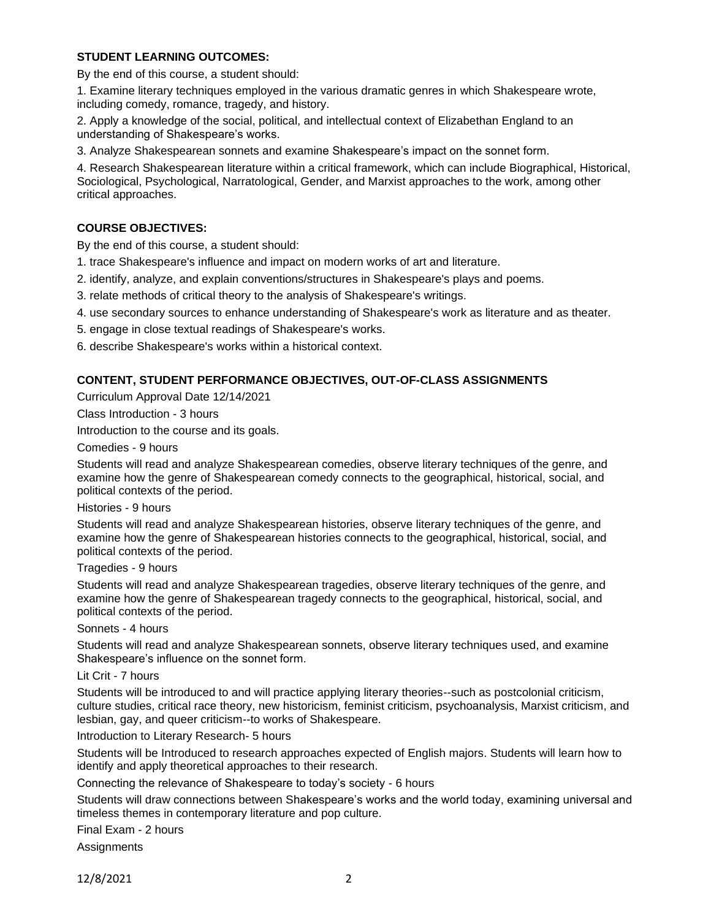# **STUDENT LEARNING OUTCOMES:**

By the end of this course, a student should:

1. Examine literary techniques employed in the various dramatic genres in which Shakespeare wrote, including comedy, romance, tragedy, and history.

2. Apply a knowledge of the social, political, and intellectual context of Elizabethan England to an understanding of Shakespeare's works.

3. Analyze Shakespearean sonnets and examine Shakespeare's impact on the sonnet form.

4. Research Shakespearean literature within a critical framework, which can include Biographical, Historical, Sociological, Psychological, Narratological, Gender, and Marxist approaches to the work, among other critical approaches.

# **COURSE OBJECTIVES:**

By the end of this course, a student should:

- 1. trace Shakespeare's influence and impact on modern works of art and literature.
- 2. identify, analyze, and explain conventions/structures in Shakespeare's plays and poems.
- 3. relate methods of critical theory to the analysis of Shakespeare's writings.
- 4. use secondary sources to enhance understanding of Shakespeare's work as literature and as theater.
- 5. engage in close textual readings of Shakespeare's works.
- 6. describe Shakespeare's works within a historical context.

# **CONTENT, STUDENT PERFORMANCE OBJECTIVES, OUT-OF-CLASS ASSIGNMENTS**

Curriculum Approval Date 12/14/2021

Class Introduction - 3 hours

Introduction to the course and its goals.

Comedies - 9 hours

Students will read and analyze Shakespearean comedies, observe literary techniques of the genre, and examine how the genre of Shakespearean comedy connects to the geographical, historical, social, and political contexts of the period.

Histories - 9 hours

Students will read and analyze Shakespearean histories, observe literary techniques of the genre, and examine how the genre of Shakespearean histories connects to the geographical, historical, social, and political contexts of the period.

Tragedies - 9 hours

Students will read and analyze Shakespearean tragedies, observe literary techniques of the genre, and examine how the genre of Shakespearean tragedy connects to the geographical, historical, social, and political contexts of the period.

Sonnets - 4 hours

Students will read and analyze Shakespearean sonnets, observe literary techniques used, and examine Shakespeare's influence on the sonnet form.

Lit Crit - 7 hours

Students will be introduced to and will practice applying literary theories--such as postcolonial criticism, culture studies, critical race theory, new historicism, feminist criticism, psychoanalysis, Marxist criticism, and lesbian, gay, and queer criticism--to works of Shakespeare.

Introduction to Literary Research- 5 hours

Students will be Introduced to research approaches expected of English majors. Students will learn how to identify and apply theoretical approaches to their research.

Connecting the relevance of Shakespeare to today's society - 6 hours

Students will draw connections between Shakespeare's works and the world today, examining universal and timeless themes in contemporary literature and pop culture.

Final Exam - 2 hours

**Assignments**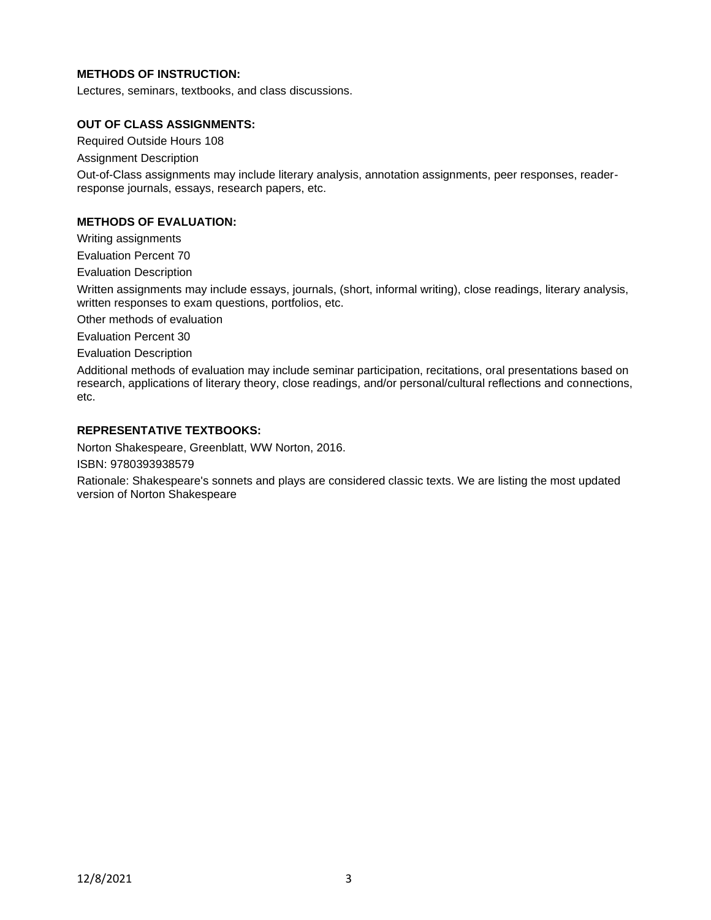# **METHODS OF INSTRUCTION:**

Lectures, seminars, textbooks, and class discussions.

### **OUT OF CLASS ASSIGNMENTS:**

Required Outside Hours 108

Assignment Description

Out-of-Class assignments may include literary analysis, annotation assignments, peer responses, readerresponse journals, essays, research papers, etc.

#### **METHODS OF EVALUATION:**

Writing assignments

Evaluation Percent 70

Evaluation Description

Written assignments may include essays, journals, (short, informal writing), close readings, literary analysis, written responses to exam questions, portfolios, etc.

Other methods of evaluation

Evaluation Percent 30

Evaluation Description

Additional methods of evaluation may include seminar participation, recitations, oral presentations based on research, applications of literary theory, close readings, and/or personal/cultural reflections and connections, etc.

# **REPRESENTATIVE TEXTBOOKS:**

Norton Shakespeare, Greenblatt, WW Norton, 2016.

ISBN: 9780393938579

Rationale: Shakespeare's sonnets and plays are considered classic texts. We are listing the most updated version of Norton Shakespeare